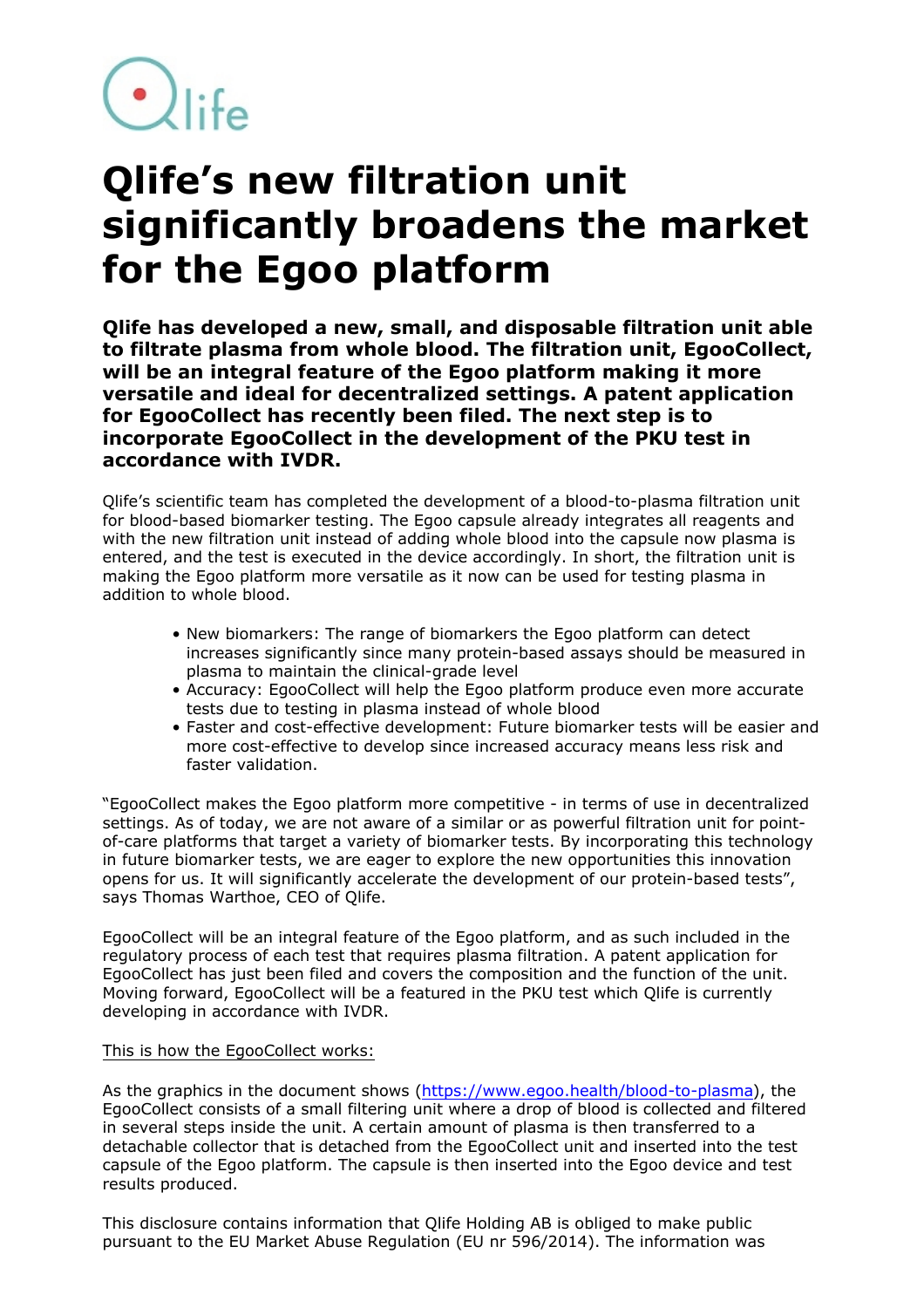$\bigcirc$ life

## **Qlife's new filtration unit significantly broadens the market for the Egoo platform**

**Qlife has developed a new, small, and disposable filtration unit able to filtrate plasma from whole blood. The filtration unit, EgooCollect, will be an integral feature of the Egoo platform making it more versatile and ideal for decentralized settings. A patent application for EgooCollect has recently been filed. The next step is to incorporate EgooCollect in the development of the PKU test in accordance with IVDR.**

Qlife's scientific team has completed the development of a blood-to-plasma filtration unit for blood-based biomarker testing. The Egoo capsule already integrates all reagents and with the new filtration unit instead of adding whole blood into the capsule now plasma is entered, and the test is executed in the device accordingly. In short, the filtration unit is making the Egoo platform more versatile as it now can be used for testing plasma in addition to whole blood.

- New biomarkers: The range of biomarkers the Egoo platform can detect increases significantly since many protein-based assays should be measured in plasma to maintain the clinical-grade level
- Accuracy: EgooCollect will help the Egoo platform produce even more accurate tests due to testing in plasma instead of whole blood
- Faster and cost-effective development: Future biomarker tests will be easier and more cost-effective to develop since increased accuracy means less risk and faster validation.

"EgooCollect makes the Egoo platform more competitive - in terms of use in decentralized settings. As of today, we are not aware of a similar or as powerful filtration unit for pointof-care platforms that target a variety of biomarker tests. By incorporating this technology in future biomarker tests, we are eager to explore the new opportunities this innovation opens for us. It will significantly accelerate the development of our protein-based tests", says Thomas Warthoe, CEO of Qlife.

EgooCollect will be an integral feature of the Egoo platform, and as such included in the regulatory process of each test that requires plasma filtration. A patent application for EgooCollect has just been filed and covers the composition and the function of the unit. Moving forward, EgooCollect will be a featured in the PKU test which Qlife is currently developing in accordance with IVDR.

## This is how the EgooCollect works:

As the graphics in the document shows ([https://www.egoo.health/blood-to-plasma\)](https://www.egoo.health/blood-to-plasma), the EgooCollect consists of a small filtering unit where a drop of blood is collected and filtered in several steps inside the unit. A certain amount of plasma is then transferred to a detachable collector that is detached from the EgooCollect unit and inserted into the test capsule of the Egoo platform. The capsule is then inserted into the Egoo device and test results produced.

This disclosure contains information that Qlife Holding AB is obliged to make public pursuant to the EU Market Abuse Regulation (EU nr 596/2014). The information was